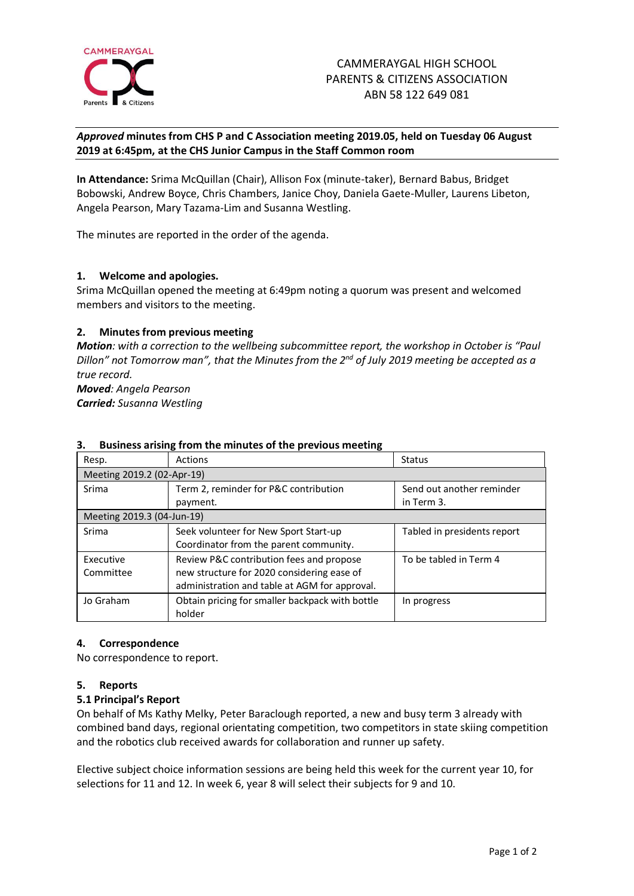

# *Approved* **minutes from CHS P and C Association meeting 2019.05, held on Tuesday 06 August 2019 at 6:45pm, at the CHS Junior Campus in the Staff Common room**

**In Attendance:** Srima McQuillan (Chair), Allison Fox (minute-taker), Bernard Babus, Bridget Bobowski, Andrew Boyce, Chris Chambers, Janice Choy, Daniela Gaete-Muller, Laurens Libeton, Angela Pearson, Mary Tazama-Lim and Susanna Westling.

The minutes are reported in the order of the agenda.

# **1. Welcome and apologies.**

Srima McQuillan opened the meeting at 6:49pm noting a quorum was present and welcomed members and visitors to the meeting.

# **2. Minutes from previous meeting**

*Motion: with a correction to the wellbeing subcommittee report, the workshop in October is "Paul Dillon" not Tomorrow man", that the Minutes from the 2 nd of July 2019 meeting be accepted as a true record. Moved: Angela Pearson*

*Carried: Susanna Westling*

| Resp.                      | <b>Actions</b>                                  | Status                      |
|----------------------------|-------------------------------------------------|-----------------------------|
| Meeting 2019.2 (02-Apr-19) |                                                 |                             |
| Srima                      | Term 2, reminder for P&C contribution           | Send out another reminder   |
|                            | payment.                                        | in Term 3.                  |
| Meeting 2019.3 (04-Jun-19) |                                                 |                             |
| Srima                      | Seek volunteer for New Sport Start-up           | Tabled in presidents report |
|                            | Coordinator from the parent community.          |                             |
| Executive                  | Review P&C contribution fees and propose        | To be tabled in Term 4      |
| Committee                  | new structure for 2020 considering ease of      |                             |
|                            | administration and table at AGM for approval.   |                             |
| Jo Graham                  | Obtain pricing for smaller backpack with bottle | In progress                 |
|                            | holder                                          |                             |

# **3. Business arising from the minutes of the previous meeting**

# **4. Correspondence**

No correspondence to report.

# **5. Reports**

# **5.1 Principal's Report**

On behalf of Ms Kathy Melky, Peter Baraclough reported, a new and busy term 3 already with combined band days, regional orientating competition, two competitors in state skiing competition and the robotics club received awards for collaboration and runner up safety.

Elective subject choice information sessions are being held this week for the current year 10, for selections for 11 and 12. In week 6, year 8 will select their subjects for 9 and 10.